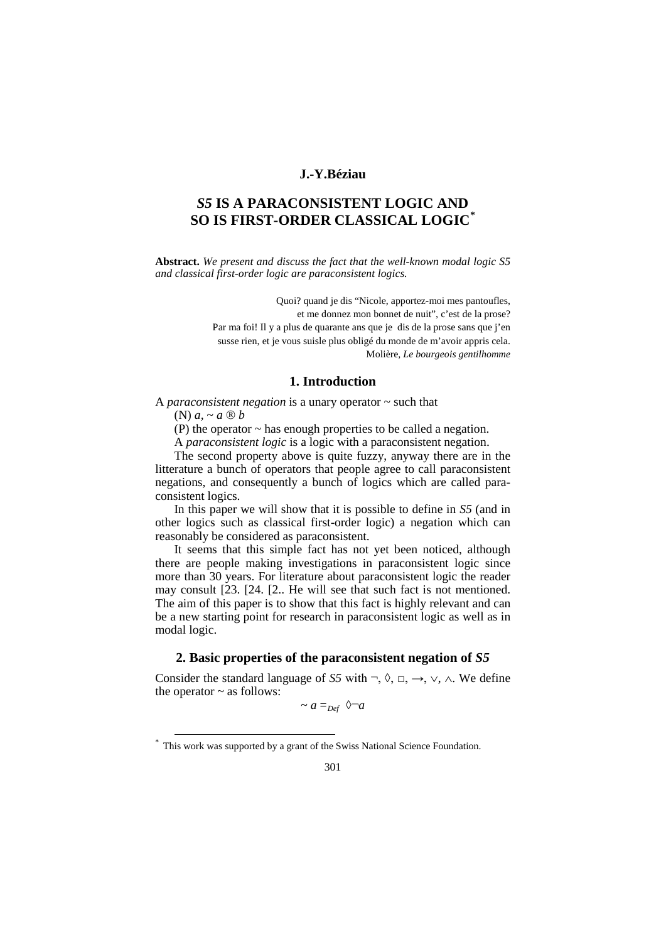## **J.-Y.Béziau**

# *S5* **IS A PARACONSISTENT LOGIC AND SO IS FIRST-ORDER CLASSICAL LOGIC[\\*](#page-0-0)**

**Abstract.** *We present and discuss the fact that the well-known modal logic S5 and classical first-order logic are paraconsistent logics.*

> Quoi? quand je dis "Nicole, apportez-moi mes pantoufles, et me donnez mon bonnet de nuit", c'est de la prose? Par ma foi! Il y a plus de quarante ans que je dis de la prose sans que j'en susse rien, et je vous suisle plus obligé du monde de m'avoir appris cela. Molière, *Le bourgeois gentilhomme*

## **1. Introduction**

A *paraconsistent negation* is a unary operator ~ such that

(N)  $a \sim a \otimes b$ 

 $\overline{a}$ 

(P) the operator ~ has enough properties to be called a negation.

A *paraconsistent logic* is a logic with a paraconsistent negation.

The second property above is quite fuzzy, anyway there are in the litterature a bunch of operators that people agree to call paraconsistent negations, and consequently a bunch of logics which are called paraconsistent logics.

In this paper we will show that it is possible to define in *S5* (and in other logics such as classical first-order logic) a negation which can reasonably be considered as paraconsistent.

It seems that this simple fact has not yet been noticed, although there are people making investigations in paraconsistent logic since more than 30 years. For literature about paraconsistent logic the reader may consult [23. [24. [2.. He will see that such fact is not mentioned. The aim of this paper is to show that this fact is highly relevant and can be a new starting point for research in paraconsistent logic as well as in modal logic.

## **2. Basic properties of the paraconsistent negation of** *S5*

Consider the standard language of *S5* with  $\neg$ ,  $\Diamond$ ,  $\Box$ ,  $\neg$ ,  $\lor$ ,  $\land$ . We define the operator  $\sim$  as follows:

 $\sim a =_{Def} \sqrt{a}$ 

<span id="page-0-0"></span><sup>\*</sup> This work was supported by a grant of the Swiss National Science Foundation.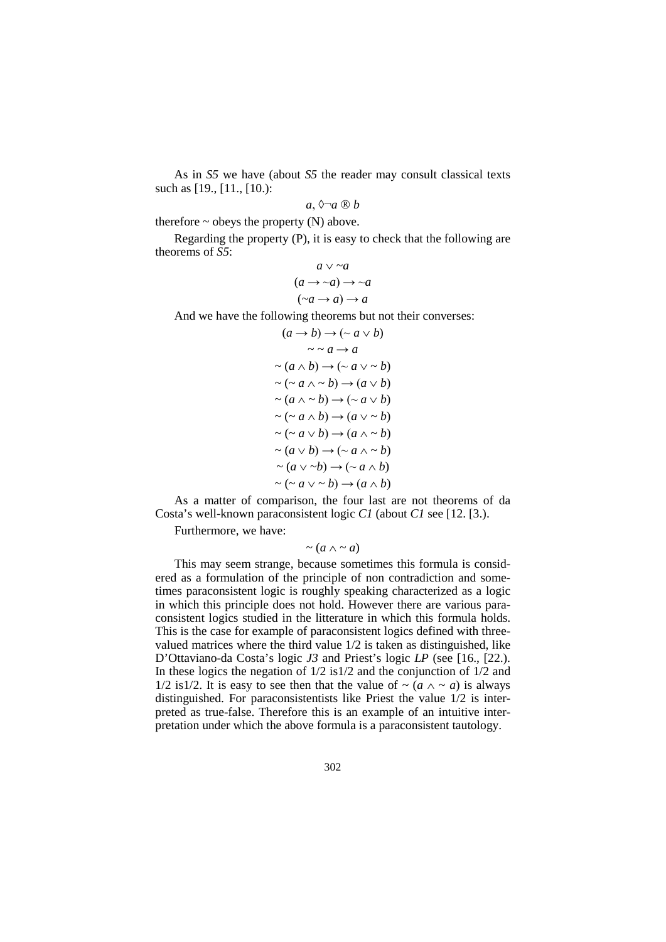As in *S5* we have (about *S5* the reader may consult classical texts such as [19., [11., [10.):

$$
a, \Diamond \neg a \circledR b
$$

therefore  $\sim$  obeys the property (N) above.

Regarding the property (P), it is easy to check that the following are theorems of *S5*:

$$
a \lor \neg a
$$
  
\n
$$
(a \to \neg a) \to \neg a
$$
  
\n
$$
(\neg a \to a) \to a
$$

And we have the following theorems but not their converses:

$$
(a \rightarrow b) \rightarrow (\sim a \lor b)
$$
  
\n
$$
\sim a \rightarrow a
$$
  
\n
$$
\sim (a \land b) \rightarrow (\sim a \lor \sim b)
$$
  
\n
$$
\sim (\sim a \land \sim b) \rightarrow (a \lor b)
$$
  
\n
$$
\sim (a \land \sim b) \rightarrow (\sim a \lor b)
$$
  
\n
$$
\sim (\sim a \land b) \rightarrow (a \lor \sim b)
$$
  
\n
$$
\sim (\sim a \lor b) \rightarrow (\sim a \land \sim b)
$$
  
\n
$$
\sim (a \lor b) \rightarrow (\sim a \land \sim b)
$$
  
\n
$$
\sim (a \lor \sim b) \rightarrow (\sim a \land b)
$$
  
\n
$$
\sim (\sim a \lor \sim b) \rightarrow (a \land b)
$$

As a matter of comparison, the four last are not theorems of da Costa's well-known paraconsistent logic *C1* (about *C1* see [12. [3.).

Furthermore, we have:

 $\sim$  (*a*  $\wedge$   $\sim$  *a*)

This may seem strange, because sometimes this formula is considered as a formulation of the principle of non contradiction and sometimes paraconsistent logic is roughly speaking characterized as a logic in which this principle does not hold. However there are various paraconsistent logics studied in the litterature in which this formula holds. This is the case for example of paraconsistent logics defined with threevalued matrices where the third value 1/2 is taken as distinguished, like D'Ottaviano-da Costa's logic *J3* and Priest's logic *LP* (see [16., [22.). In these logics the negation of 1/2 is1/2 and the conjunction of 1/2 and 1/2 is1/2. It is easy to see then that the value of  $\sim$  (*a*  $\wedge \sim$  *a*) is always distinguished. For paraconsistentists like Priest the value 1/2 is interpreted as true-false. Therefore this is an example of an intuitive interpretation under which the above formula is a paraconsistent tautology.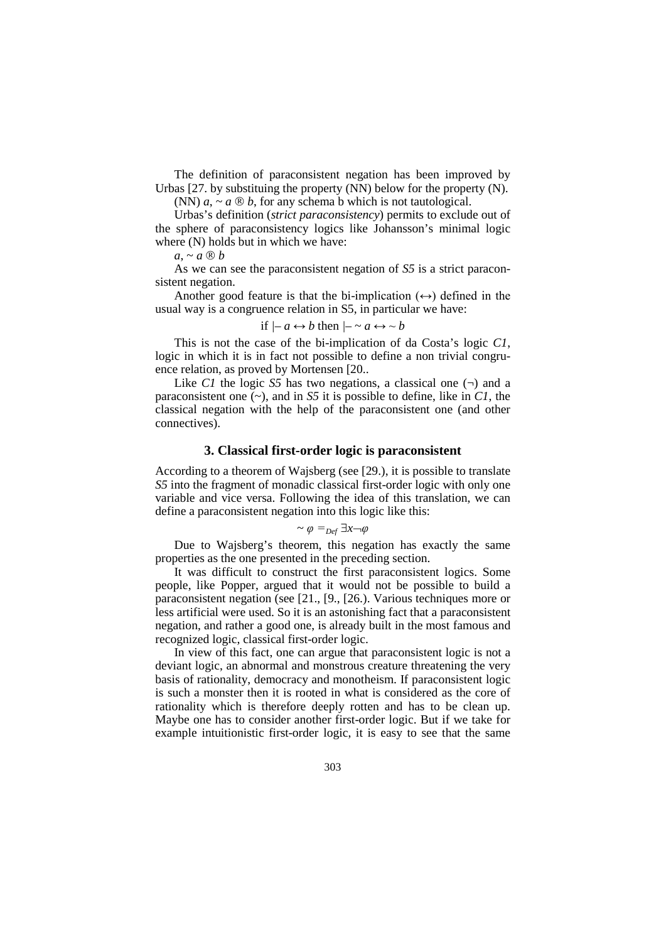The definition of paraconsistent negation has been improved by Urbas [27. by substituing the property (NN) below for the property (N).

(NN)  $a_1 \sim a \otimes b$ , for any schema b which is not tautological.

Urbas's definition (*strict paraconsistency*) permits to exclude out of the sphere of paraconsistency logics like Johansson's minimal logic where  $(N)$  holds but in which we have:

 $a \sim a \otimes b$ 

As we can see the paraconsistent negation of *S5* is a strict paraconsistent negation.

Another good feature is that the bi-implication  $(\leftrightarrow)$  defined in the usual way is a congruence relation in S5, in particular we have:

if 
$$
\rightarrow a \leftrightarrow b
$$
 then  $\rightarrow \sim a \leftrightarrow \sim b$ 

This is not the case of the bi-implication of da Costa's logic *C1*, logic in which it is in fact not possible to define a non trivial congruence relation, as proved by Mortensen [20..

Like *C1* the logic *S5* has two negations, a classical one  $(\neg)$  and a paraconsistent one (~), and in *S5* it is possible to define, like in *C1*, the classical negation with the help of the paraconsistent one (and other connectives).

# **3. Classical first-order logic is paraconsistent**

According to a theorem of Wajsberg (see [29.), it is possible to translate *S5* into the fragment of monadic classical first-order logic with only one variable and vice versa. Following the idea of this translation, we can define a paraconsistent negation into this logic like this:

$$
\sim \varphi =_{Def} \exists x \neg \varphi
$$

Due to Wajsberg's theorem, this negation has exactly the same properties as the one presented in the preceding section.

It was difficult to construct the first paraconsistent logics. Some people, like Popper, argued that it would not be possible to build a paraconsistent negation (see [21., [9., [26.). Various techniques more or less artificial were used. So it is an astonishing fact that a paraconsistent negation, and rather a good one, is already built in the most famous and recognized logic, classical first-order logic.

In view of this fact, one can argue that paraconsistent logic is not a deviant logic, an abnormal and monstrous creature threatening the very basis of rationality, democracy and monotheism. If paraconsistent logic is such a monster then it is rooted in what is considered as the core of rationality which is therefore deeply rotten and has to be clean up. Maybe one has to consider another first-order logic. But if we take for example intuitionistic first-order logic, it is easy to see that the same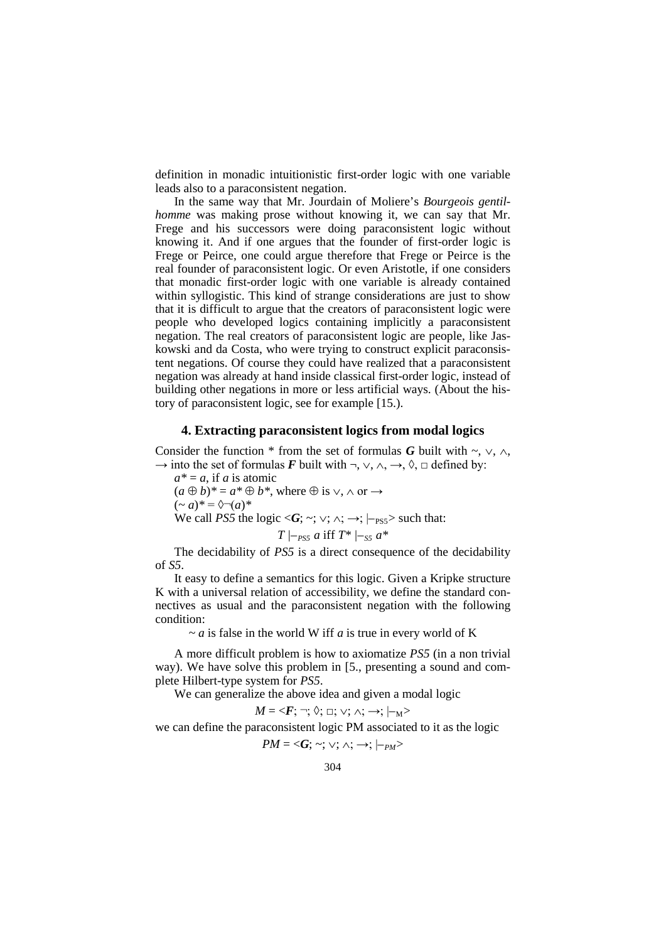definition in monadic intuitionistic first-order logic with one variable leads also to a paraconsistent negation.

In the same way that Mr. Jourdain of Moliere's *Bourgeois gentilhomme* was making prose without knowing it, we can say that Mr. Frege and his successors were doing paraconsistent logic without knowing it. And if one argues that the founder of first-order logic is Frege or Peirce, one could argue therefore that Frege or Peirce is the real founder of paraconsistent logic. Or even Aristotle, if one considers that monadic first-order logic with one variable is already contained within syllogistic. This kind of strange considerations are just to show that it is difficult to argue that the creators of paraconsistent logic were people who developed logics containing implicitly a paraconsistent negation. The real creators of paraconsistent logic are people, like Jaskowski and da Costa, who were trying to construct explicit paraconsistent negations. Of course they could have realized that a paraconsistent negation was already at hand inside classical first-order logic, instead of building other negations in more or less artificial ways. (About the history of paraconsistent logic, see for example [15.).

#### **4. Extracting paraconsistent logics from modal logics**

Consider the function \* from the set of formulas *G* built with ~,  $\vee$ ,  $\wedge$ ,  $\rightarrow$  into the set of formulas *F* built with  $\neg$ ,  $\vee$ ,  $\wedge$ ,  $\rightarrow$ ,  $\Diamond$ ,  $\Box$  defined by:

 $a^* = a$ , if *a* is atomic  $(a \oplus b)^* = a^* \oplus b^*$ , where  $\oplus$  is  $\vee$ ,  $\wedge$  or  $\rightarrow$  $(-a)^* = \sqrt[3]{(a)^*}$ We call *PS5* the logic  $\langle G; \sim; \vee; \wedge; \rightarrow; |_{\text{PSS}} \rangle$  such that:

$$
T
$$
 |-<sub>PS5</sub> a iff 
$$
T^*
$$
 |-<sub>SS</sub> a<sup>\*</sup>

The decidability of *PS5* is a direct consequence of the decidability of *S5*.

It easy to define a semantics for this logic. Given a Kripke structure K with a universal relation of accessibility, we define the standard connectives as usual and the paraconsistent negation with the following condition:

*~ a* is false in the world W iff *a* is true in every world of K

A more difficult problem is how to axiomatize *PS5* (in a non trivial way). We have solve this problem in [5., presenting a sound and complete Hilbert-type system for *PS5*.

We can generalize the above idea and given a modal logic

$$
M = \langle \mathbf{F}; \neg ; \Diamond; \sqcup; \vee; \wedge; \rightarrow; |_{-M} \rangle
$$

we can define the paraconsistent logic PM associated to it as the logic

$$
PM=<\!\!G;\,\sim;\vee;\wedge;\,\rightarrow;\,\mid_{-PM}>
$$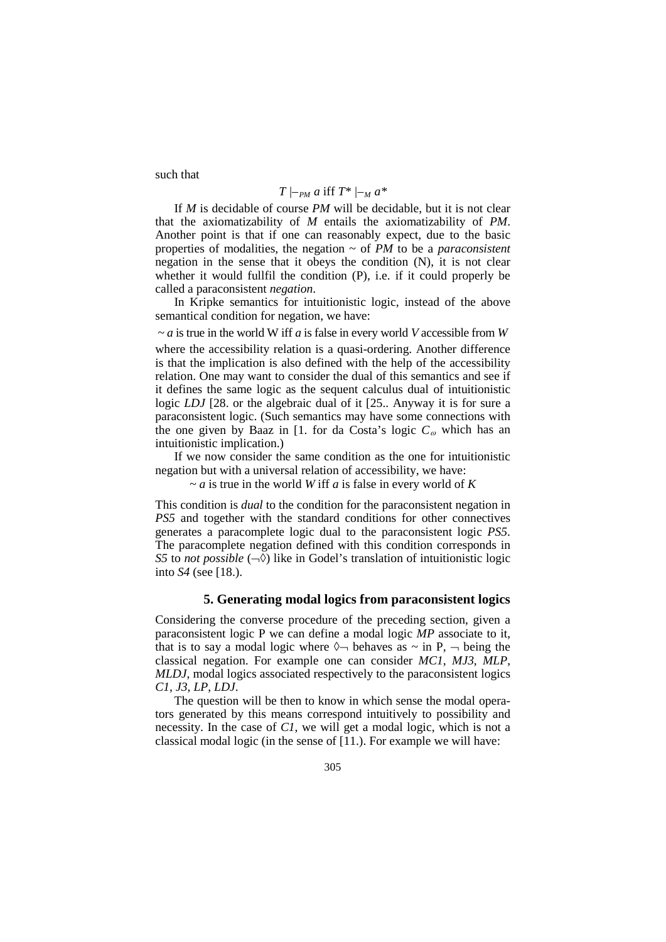such that

# *T*  $|-_{PM}$  *a* iff  $T^*$   $|-_{M}$  *a*<sup>\*</sup>

If *M* is decidable of course *PM* will be decidable, but it is not clear that the axiomatizability of *M* entails the axiomatizability of *PM*. Another point is that if one can reasonably expect, due to the basic properties of modalities, the negation ~ of *PM* to be a *paraconsistent* negation in the sense that it obeys the condition (N), it is not clear whether it would fullfil the condition (P), i.e. if it could properly be called a paraconsistent *negation*.

In Kripke semantics for intuitionistic logic, instead of the above semantical condition for negation, we have:

*~ a* is true in the world W iff *a* is false in every world *V* accessible from *W* where the accessibility relation is a quasi-ordering. Another difference is that the implication is also defined with the help of the accessibility relation. One may want to consider the dual of this semantics and see if it defines the same logic as the sequent calculus dual of intuitionistic logic *LDJ* [28. or the algebraic dual of it [25.. Anyway it is for sure a paraconsistent logic. (Such semantics may have some connections with the one given by Baaz in [1. for da Costa's logic  $C_{\omega}$  which has an intuitionistic implication.)

If we now consider the same condition as the one for intuitionistic negation but with a universal relation of accessibility, we have:

*~ a* is true in the world *W* iff *a* is false in every world of *K*

This condition is *dual* to the condition for the paraconsistent negation in *PS5* and together with the standard conditions for other connectives generates a paracomplete logic dual to the paraconsistent logic *PS5*. The paracomplete negation defined with this condition corresponds in *S5* to *not possible*  $(-\Diamond)$  like in Godel's translation of intuitionistic logic into *S4* (see [18.).

### **5. Generating modal logics from paraconsistent logics**

Considering the converse procedure of the preceding section, given a paraconsistent logic P we can define a modal logic *MP* associate to it, that is to say a modal logic where  $\Diamond \neg$  behaves as  $\sim$  in P,  $\neg$  being the classical negation. For example one can consider *MC1*, *MJ3*, *MLP*, *MLDJ*, modal logics associated respectively to the paraconsistent logics *C1*, *J3*, *LP*, *LDJ*.

The question will be then to know in which sense the modal operators generated by this means correspond intuitively to possibility and necessity. In the case of *C1*, we will get a modal logic, which is not a classical modal logic (in the sense of [11.). For example we will have: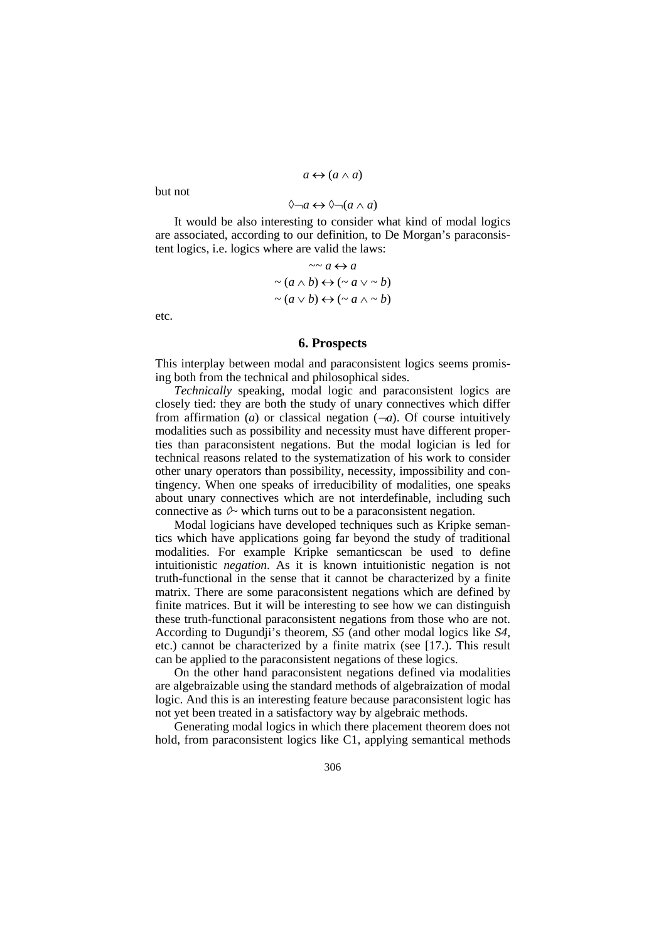### $a \leftrightarrow (a \land a)$

but not

# ◊¬*a* ↔ ◊¬(*a* ∧ *a*)

It would be also interesting to consider what kind of modal logics are associated, according to our definition, to De Morgan's paraconsistent logics, i.e. logics where are valid the laws:

$$
\sim a \leftrightarrow a
$$
  
\n
$$
\sim (a \land b) \leftrightarrow (\sim a \lor \sim b)
$$
  
\n
$$
\sim (a \lor b) \leftrightarrow (\sim a \land \sim b)
$$

etc.

### **6. Prospects**

This interplay between modal and paraconsistent logics seems promising both from the technical and philosophical sides.

*Technically* speaking, modal logic and paraconsistent logics are closely tied: they are both the study of unary connectives which differ from affirmation (*a*) or classical negation  $(-a)$ . Of course intuitively modalities such as possibility and necessity must have different properties than paraconsistent negations. But the modal logician is led for technical reasons related to the systematization of his work to consider other unary operators than possibility, necessity, impossibility and contingency. When one speaks of irreducibility of modalities, one speaks about unary connectives which are not interdefinable, including such connective as  $\Diamond \neg$  which turns out to be a paraconsistent negation.

Modal logicians have developed techniques such as Kripke semantics which have applications going far beyond the study of traditional modalities. For example Kripke semanticscan be used to define intuitionistic *negation*. As it is known intuitionistic negation is not truth-functional in the sense that it cannot be characterized by a finite matrix. There are some paraconsistent negations which are defined by finite matrices. But it will be interesting to see how we can distinguish these truth-functional paraconsistent negations from those who are not. According to Dugundji's theorem, *S5* (and other modal logics like *S4*, etc.) cannot be characterized by a finite matrix (see [17.). This result can be applied to the paraconsistent negations of these logics.

On the other hand paraconsistent negations defined via modalities are algebraizable using the standard methods of algebraization of modal logic. And this is an interesting feature because paraconsistent logic has not yet been treated in a satisfactory way by algebraic methods.

Generating modal logics in which there placement theorem does not hold, from paraconsistent logics like C1, applying semantical methods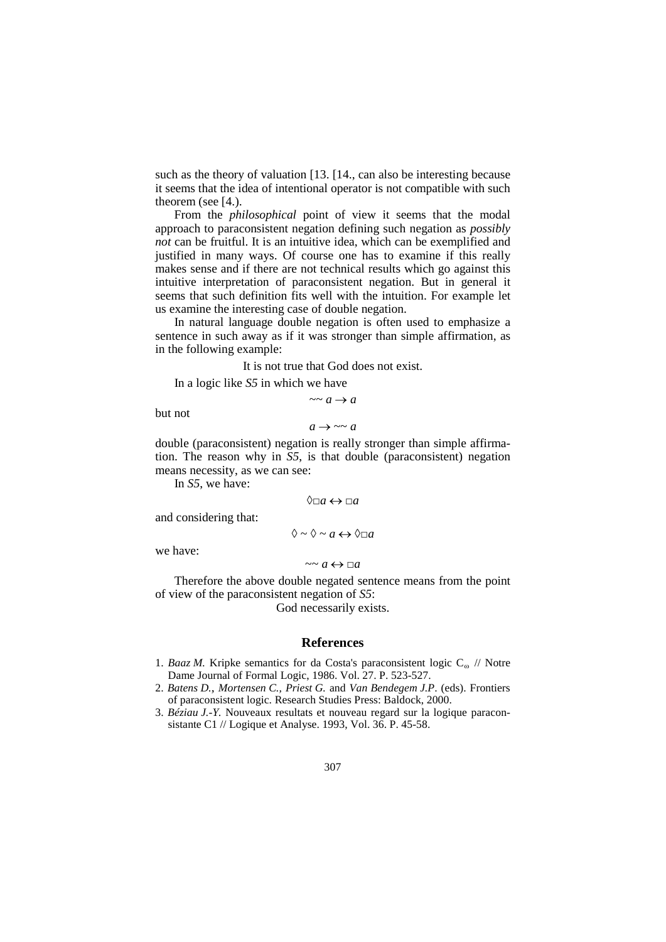such as the theory of valuation [13. [14., can also be interesting because it seems that the idea of intentional operator is not compatible with such theorem (see [4.).

From the *philosophical* point of view it seems that the modal approach to paraconsistent negation defining such negation as *possibly not* can be fruitful. It is an intuitive idea, which can be exemplified and justified in many ways. Of course one has to examine if this really makes sense and if there are not technical results which go against this intuitive interpretation of paraconsistent negation. But in general it seems that such definition fits well with the intuition. For example let us examine the interesting case of double negation.

In natural language double negation is often used to emphasize a sentence in such away as if it was stronger than simple affirmation, as in the following example:

It is not true that God does not exist.

In a logic like *S5* in which we have

 $\sim a \rightarrow a$ 

but not

 $a \rightarrow \sim a$ 

double (paraconsistent) negation is really stronger than simple affirmation. The reason why in *S5*, is that double (paraconsistent) negation means necessity, as we can see:

In *S5*, we have:

 $\Diamond \Box a \leftrightarrow \Box a$ 

and considering that:

$$
\Diamond \sim \Diamond \sim a \leftrightarrow \Diamond \Box a
$$

we have:

 $\sim a \leftrightarrow \Box a$ 

Therefore the above double negated sentence means from the point of view of the paraconsistent negation of *S5*:

God necessarily exists.

### **References**

- 1. *Baaz M.* Kripke semantics for da Costa's paraconsistent logic  $C_{\omega}$  // Notre Dame Journal of Formal Logic, 1986. Vol. 27. P. 523-527.
- 2. *Batens D., Mortensen C., Priest G.* and *Van Bendegem J.P*. (eds). Frontiers of paraconsistent logic. Research Studies Press: Baldock, 2000.
- 3. *Béziau J.-Y.* Nouveaux resultats et nouveau regard sur la logique paraconsistante C1 // Logique et Analyse. 1993, Vol. 36. P. 45-58.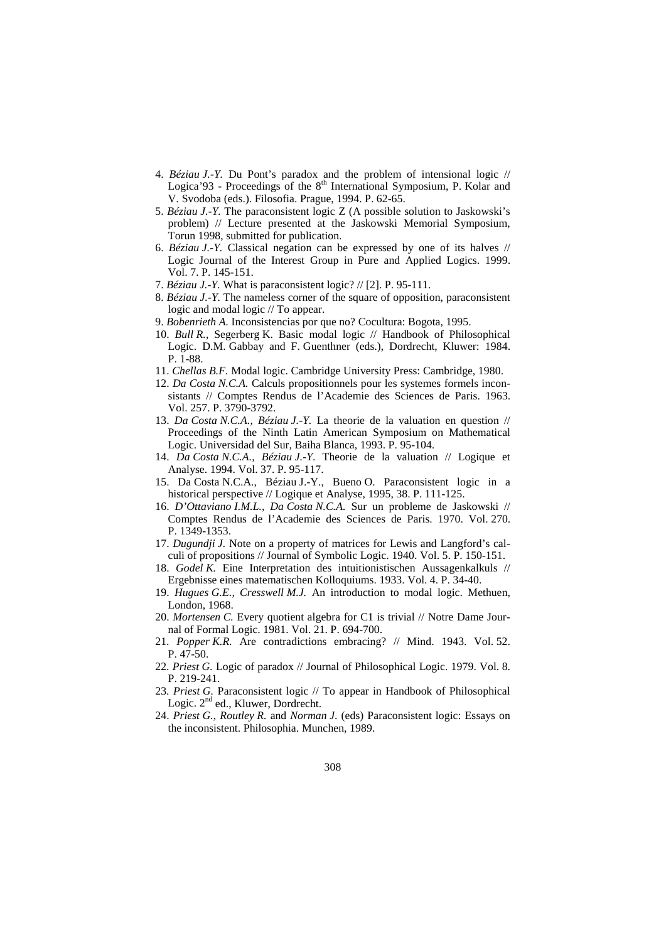- 4. *Béziau J.-Y.* Du Pont's paradox and the problem of intensional logic // Logica'93 - Proceedings of the  $8<sup>th</sup>$  International Symposium, P. Kolar and V. Svodoba (eds.). Filosofia. Prague, 1994. P. 62-65.
- 5. *Béziau J.-Y.* The paraconsistent logic Z (A possible solution to Jaskowski's problem) // Lecture presented at the Jaskowski Memorial Symposium, Torun 1998, submitted for publication.
- 6. *Béziau J.-Y.* Classical negation can be expressed by one of its halves // Logic Journal of the Interest Group in Pure and Applied Logics. 1999. Vol. 7. P. 145-151.
- 7. *Béziau J.-Y.* What is paraconsistent logic? // [2]. P. 95-111.
- 8. *Béziau J.-Y.* The nameless corner of the square of opposition, paraconsistent logic and modal logic // To appear.
- 9. *Bobenrieth A.* Inconsistencias por que no? Cocultura: Bogota, 1995.
- 10. *Bull R.,* Segerberg K. Basic modal logic // Handbook of Philosophical Logic. D.M. Gabbay and F. Guenthner (eds.), Dordrecht, Kluwer: 1984. P. 1-88.
- 11. *Chellas B.F.* Modal logic. Cambridge University Press: Cambridge, 1980.
- 12. *Da Costa N.C.A.* Calculs propositionnels pour les systemes formels inconsistants // Comptes Rendus de l'Academie des Sciences de Paris. 1963. Vol. 257. P. 3790-3792.
- 13. *Da Costa N.C.A., Béziau J.-Y.* La theorie de la valuation en question // Proceedings of the Ninth Latin American Symposium on Mathematical Logic. Universidad del Sur, Baiha Blanca, 1993. P. 95-104.
- 14. *Da Costa N.C.A., Béziau J.-Y*. Theorie de la valuation // Logique et Analyse. 1994. Vol. 37. P. 95-117.
- 15. Da Costa N.C.A., Béziau J.-Y., Bueno O. Paraconsistent logic in a historical perspective // Logique et Analyse, 1995, 38. P. 111-125.
- 16. *D'Ottaviano I.M.L., Da Costa N.C.A.* Sur un probleme de Jaskowski // Comptes Rendus de l'Academie des Sciences de Paris. 1970. Vol. 270. P. 1349-1353.
- 17. *Dugundji J.* Note on a property of matrices for Lewis and Langford's calculi of propositions // Journal of Symbolic Logic. 1940. Vol. 5. P. 150-151.
- 18. *Godel K.* Eine Interpretation des intuitionistischen Aussagenkalkuls // Ergebnisse eines matematischen Kolloquiums. 1933. Vol. 4. P. 34-40.
- 19. *Hugues G.E., Cresswell M.J.* An introduction to modal logic. Methuen, London, 1968.
- 20. *Mortensen C.* Every quotient algebra for C1 is trivial // Notre Dame Journal of Formal Logic. 1981. Vol. 21. P. 694-700.
- 21. *Popper K.R.* Are contradictions embracing? // Mind. 1943. Vol. 52. P. 47-50.
- 22. *Priest G.* Logic of paradox // Journal of Philosophical Logic. 1979. Vol. 8. P. 219-241.
- 23. *Priest G.* Paraconsistent logic // To appear in Handbook of Philosophical Logic. 2<sup>nd</sup> ed., Kluwer, Dordrecht.
- 24. *Priest G., Routley R.* and *Norman J*. (eds) Paraconsistent logic: Essays on the inconsistent. Philosophia. Munchen, 1989.